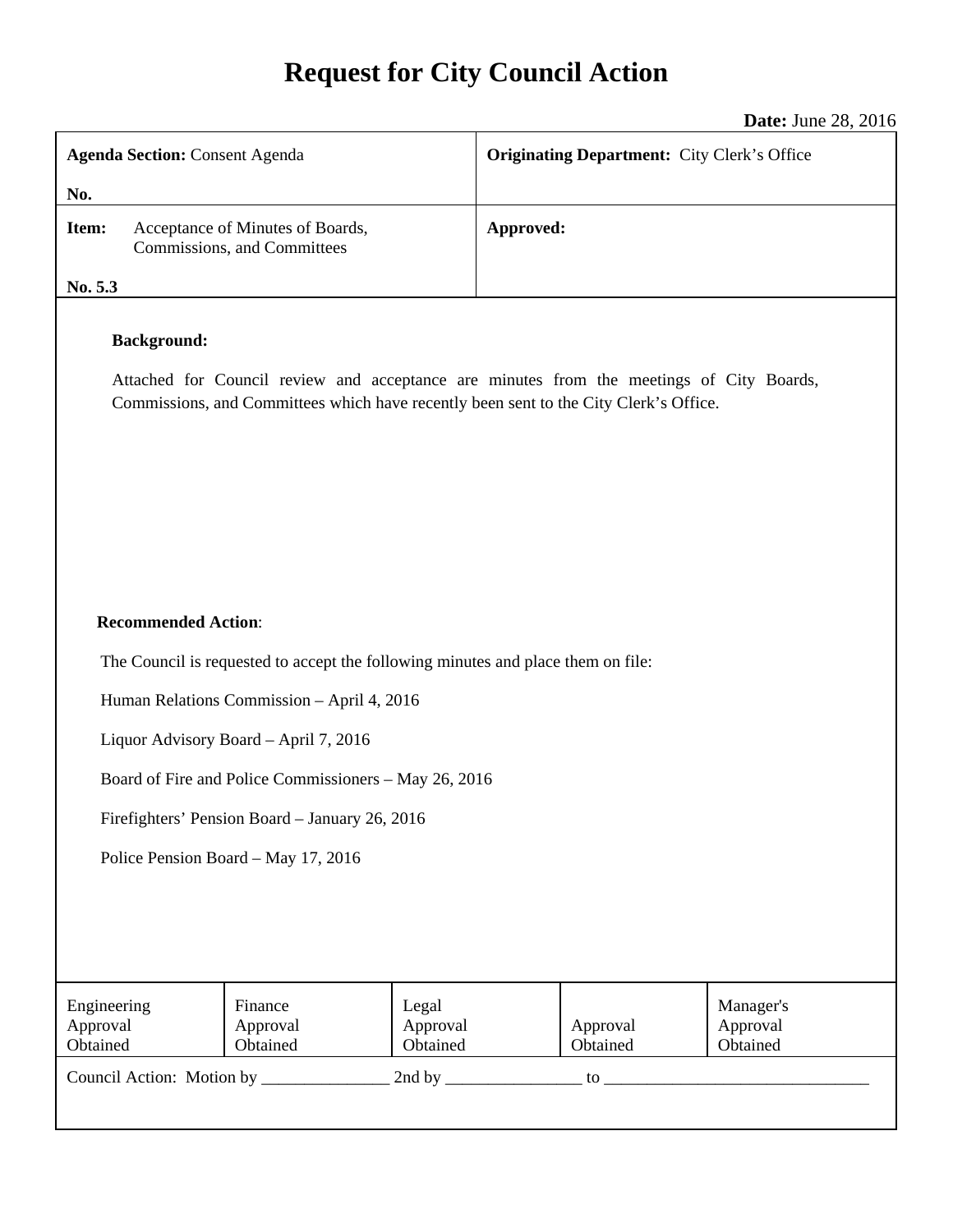# **Request for City Council Action**

**Date:** June 28, 2016

| <b>Agenda Section: Consent Agenda</b>                                                                          |                                                                 |                               | $P^{\mu\nu}$ , $\mu^{\mu\nu}$ , $\mu^{\nu}$ , $\mu^{\nu}$<br><b>Originating Department:</b> City Clerk's Office |                                   |  |
|----------------------------------------------------------------------------------------------------------------|-----------------------------------------------------------------|-------------------------------|-----------------------------------------------------------------------------------------------------------------|-----------------------------------|--|
|                                                                                                                |                                                                 |                               |                                                                                                                 |                                   |  |
| No.                                                                                                            |                                                                 |                               |                                                                                                                 |                                   |  |
| Item:                                                                                                          | Acceptance of Minutes of Boards,<br>Commissions, and Committees | Approved:                     |                                                                                                                 |                                   |  |
| No. 5.3                                                                                                        |                                                                 |                               |                                                                                                                 |                                   |  |
| <b>Background:</b><br>Attached for Council review and acceptance are minutes from the meetings of City Boards, |                                                                 |                               |                                                                                                                 |                                   |  |
| Commissions, and Committees which have recently been sent to the City Clerk's Office.                          |                                                                 |                               |                                                                                                                 |                                   |  |
|                                                                                                                |                                                                 |                               |                                                                                                                 |                                   |  |
|                                                                                                                |                                                                 |                               |                                                                                                                 |                                   |  |
|                                                                                                                |                                                                 |                               |                                                                                                                 |                                   |  |
|                                                                                                                |                                                                 |                               |                                                                                                                 |                                   |  |
| <b>Recommended Action:</b>                                                                                     |                                                                 |                               |                                                                                                                 |                                   |  |
| The Council is requested to accept the following minutes and place them on file:                               |                                                                 |                               |                                                                                                                 |                                   |  |
| Human Relations Commission - April 4, 2016                                                                     |                                                                 |                               |                                                                                                                 |                                   |  |
| Liquor Advisory Board - April 7, 2016                                                                          |                                                                 |                               |                                                                                                                 |                                   |  |
| Board of Fire and Police Commissioners - May 26, 2016                                                          |                                                                 |                               |                                                                                                                 |                                   |  |
| Firefighters' Pension Board - January 26, 2016                                                                 |                                                                 |                               |                                                                                                                 |                                   |  |
| Police Pension Board - May 17, 2016                                                                            |                                                                 |                               |                                                                                                                 |                                   |  |
|                                                                                                                |                                                                 |                               |                                                                                                                 |                                   |  |
|                                                                                                                |                                                                 |                               |                                                                                                                 |                                   |  |
|                                                                                                                |                                                                 |                               |                                                                                                                 |                                   |  |
| Engineering<br>Approval<br>Obtained                                                                            | Finance<br>Approval<br>Obtained                                 | Legal<br>Approval<br>Obtained | Approval<br>Obtained                                                                                            | Manager's<br>Approval<br>Obtained |  |
| 2nd by $\frac{ }{ }$<br>$\overline{\mathfrak{g}}$ to $\overline{\mathfrak{g}}$                                 |                                                                 |                               |                                                                                                                 |                                   |  |
|                                                                                                                |                                                                 |                               |                                                                                                                 |                                   |  |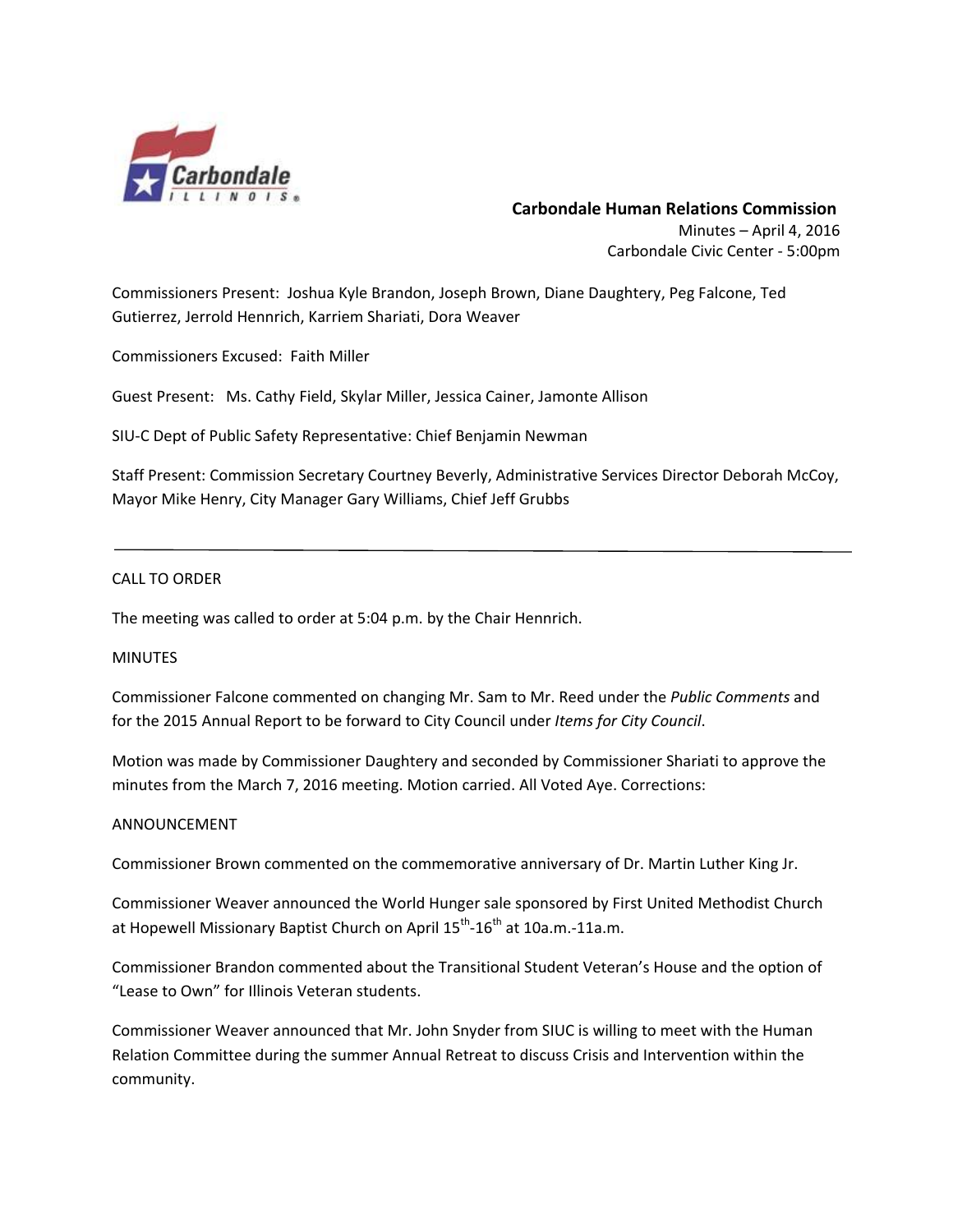

# **Carbondale Human Relations Commission** Minutes – April 4, 2016 Carbondale Civic Center ‐ 5:00pm

Commissioners Present: Joshua Kyle Brandon, Joseph Brown, Diane Daughtery, Peg Falcone, Ted Gutierrez, Jerrold Hennrich, Karriem Shariati, Dora Weaver

Commissioners Excused: Faith Miller

Guest Present: Ms. Cathy Field, Skylar Miller, Jessica Cainer, Jamonte Allison

SIU‐C Dept of Public Safety Representative: Chief Benjamin Newman

Staff Present: Commission Secretary Courtney Beverly, Administrative Services Director Deborah McCoy, Mayor Mike Henry, City Manager Gary Williams, Chief Jeff Grubbs

#### CALL TO ORDER

The meeting was called to order at 5:04 p.m. by the Chair Hennrich.

#### **MINUTES**

Commissioner Falcone commented on changing Mr. Sam to Mr. Reed under the *Public Comments* and for the 2015 Annual Report to be forward to City Council under *Items for City Council*.

Motion was made by Commissioner Daughtery and seconded by Commissioner Shariati to approve the minutes from the March 7, 2016 meeting. Motion carried. All Voted Aye. Corrections:

#### ANNOUNCEMENT

Commissioner Brown commented on the commemorative anniversary of Dr. Martin Luther King Jr.

Commissioner Weaver announced the World Hunger sale sponsored by First United Methodist Church at Hopewell Missionary Baptist Church on April  $15^{th}$ -16<sup>th</sup> at 10a.m.-11a.m.

Commissioner Brandon commented about the Transitional Student Veteran's House and the option of "Lease to Own" for Illinois Veteran students.

Commissioner Weaver announced that Mr. John Snyder from SIUC is willing to meet with the Human Relation Committee during the summer Annual Retreat to discuss Crisis and Intervention within the community.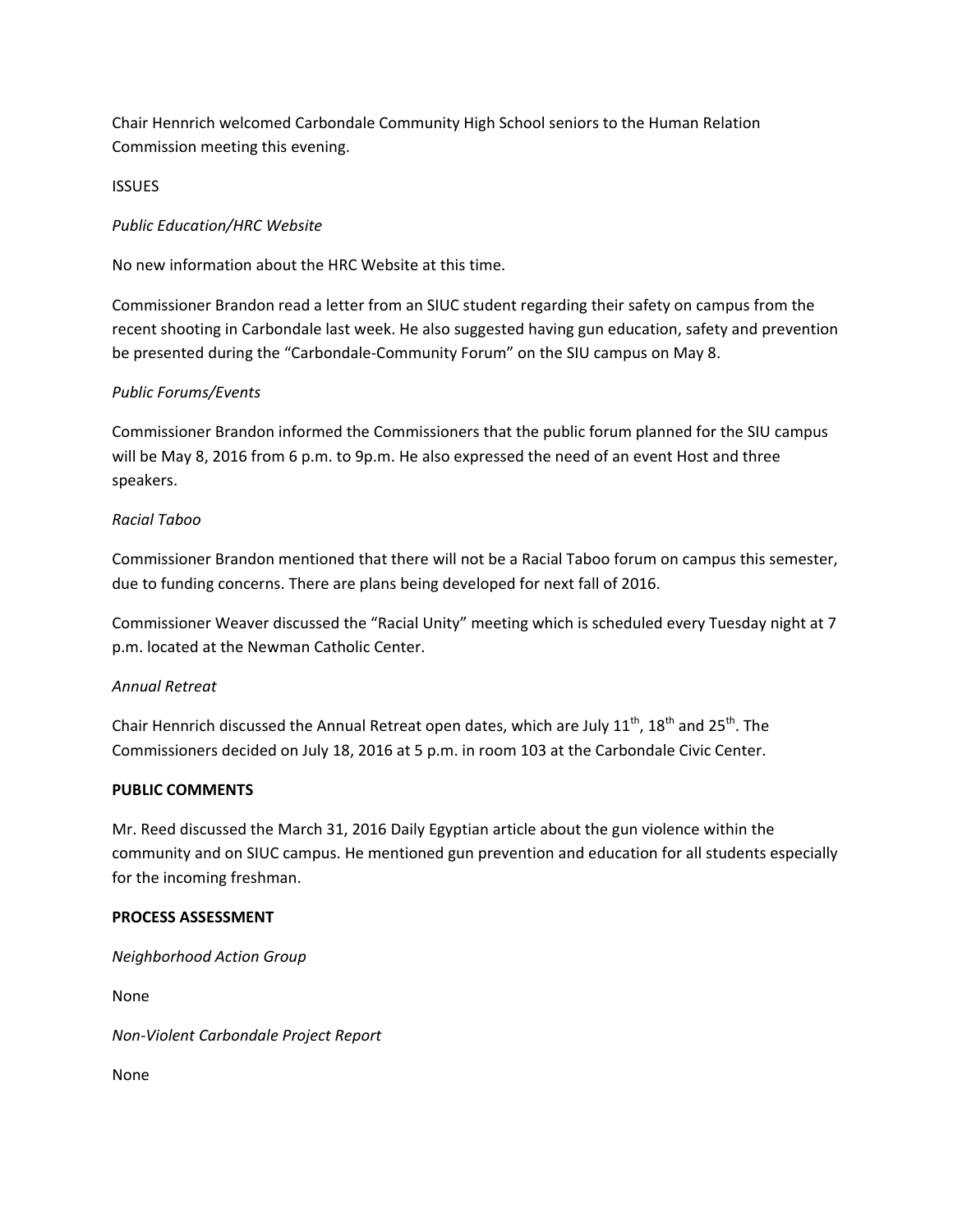Chair Hennrich welcomed Carbondale Community High School seniors to the Human Relation Commission meeting this evening.

**ISSUES** 

# *Public Education/HRC Website*

No new information about the HRC Website at this time.

Commissioner Brandon read a letter from an SIUC student regarding their safety on campus from the recent shooting in Carbondale last week. He also suggested having gun education, safety and prevention be presented during the "Carbondale-Community Forum" on the SIU campus on May 8.

# *Public Forums/Events*

Commissioner Brandon informed the Commissioners that the public forum planned for the SIU campus will be May 8, 2016 from 6 p.m. to 9p.m. He also expressed the need of an event Host and three speakers.

# *Racial Taboo*

Commissioner Brandon mentioned that there will not be a Racial Taboo forum on campus this semester, due to funding concerns. There are plans being developed for next fall of 2016.

Commissioner Weaver discussed the "Racial Unity" meeting which is scheduled every Tuesday night at 7 p.m. located at the Newman Catholic Center.

# *Annual Retreat*

Chair Hennrich discussed the Annual Retreat open dates, which are July  $11^{th}$ ,  $18^{th}$  and  $25^{th}$ . The Commissioners decided on July 18, 2016 at 5 p.m. in room 103 at the Carbondale Civic Center.

# **PUBLIC COMMENTS**

Mr. Reed discussed the March 31, 2016 Daily Egyptian article about the gun violence within the community and on SIUC campus. He mentioned gun prevention and education for all students especially for the incoming freshman.

# **PROCESS ASSESSMENT**

*Neighborhood Action Group* 

None

*Non‐Violent Carbondale Project Report*

None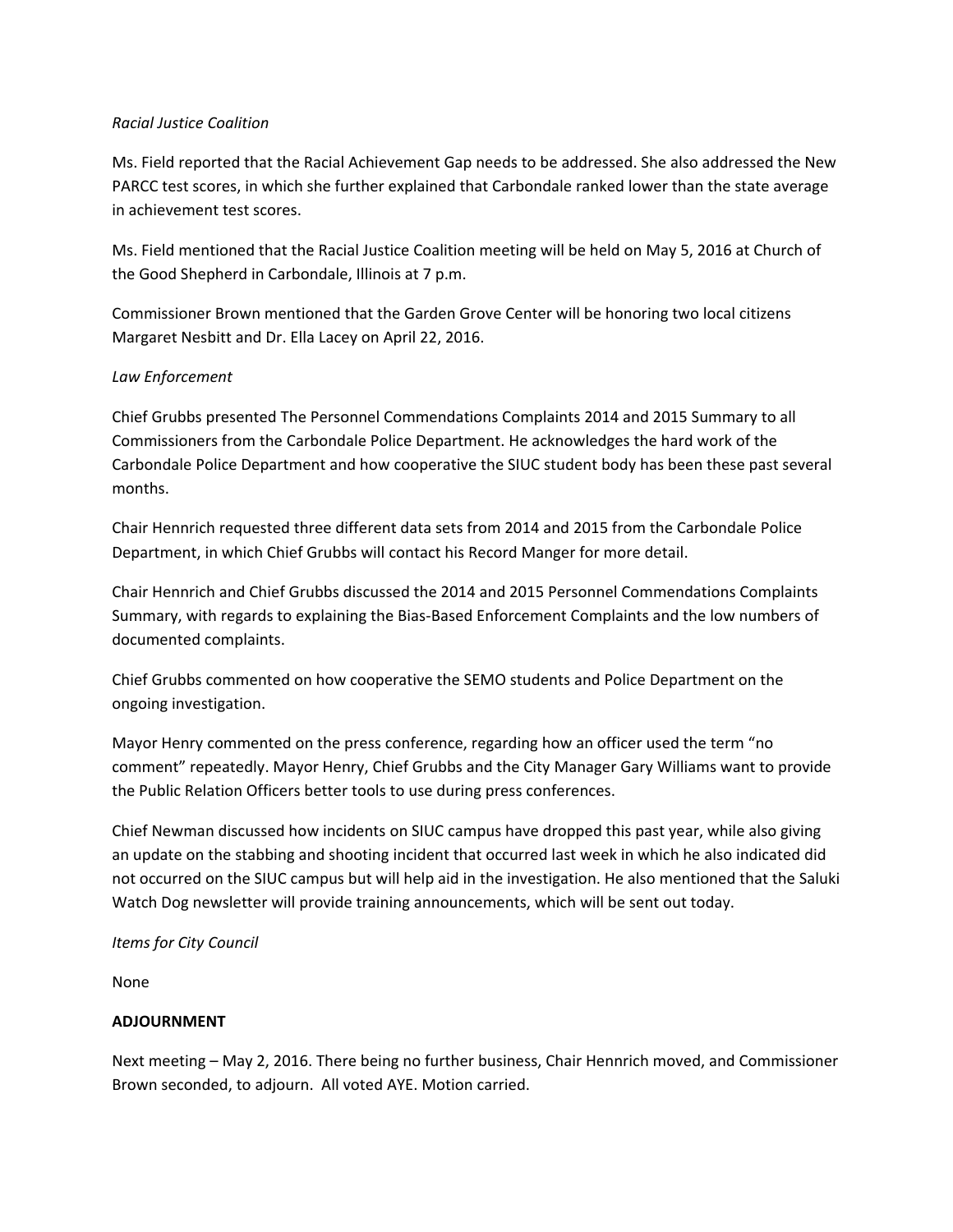# *Racial Justice Coalition*

Ms. Field reported that the Racial Achievement Gap needs to be addressed. She also addressed the New PARCC test scores, in which she further explained that Carbondale ranked lower than the state average in achievement test scores.

Ms. Field mentioned that the Racial Justice Coalition meeting will be held on May 5, 2016 at Church of the Good Shepherd in Carbondale, Illinois at 7 p.m.

Commissioner Brown mentioned that the Garden Grove Center will be honoring two local citizens Margaret Nesbitt and Dr. Ella Lacey on April 22, 2016.

# *Law Enforcement*

Chief Grubbs presented The Personnel Commendations Complaints 2014 and 2015 Summary to all Commissioners from the Carbondale Police Department. He acknowledges the hard work of the Carbondale Police Department and how cooperative the SIUC student body has been these past several months.

Chair Hennrich requested three different data sets from 2014 and 2015 from the Carbondale Police Department, in which Chief Grubbs will contact his Record Manger for more detail.

Chair Hennrich and Chief Grubbs discussed the 2014 and 2015 Personnel Commendations Complaints Summary, with regards to explaining the Bias‐Based Enforcement Complaints and the low numbers of documented complaints.

Chief Grubbs commented on how cooperative the SEMO students and Police Department on the ongoing investigation.

Mayor Henry commented on the press conference, regarding how an officer used the term "no comment" repeatedly. Mayor Henry, Chief Grubbs and the City Manager Gary Williams want to provide the Public Relation Officers better tools to use during press conferences.

Chief Newman discussed how incidents on SIUC campus have dropped this past year, while also giving an update on the stabbing and shooting incident that occurred last week in which he also indicated did not occurred on the SIUC campus but will help aid in the investigation. He also mentioned that the Saluki Watch Dog newsletter will provide training announcements, which will be sent out today.

# *Items for City Council*

None

# **ADJOURNMENT**

Next meeting – May 2, 2016. There being no further business, Chair Hennrich moved, and Commissioner Brown seconded, to adjourn. All voted AYE. Motion carried.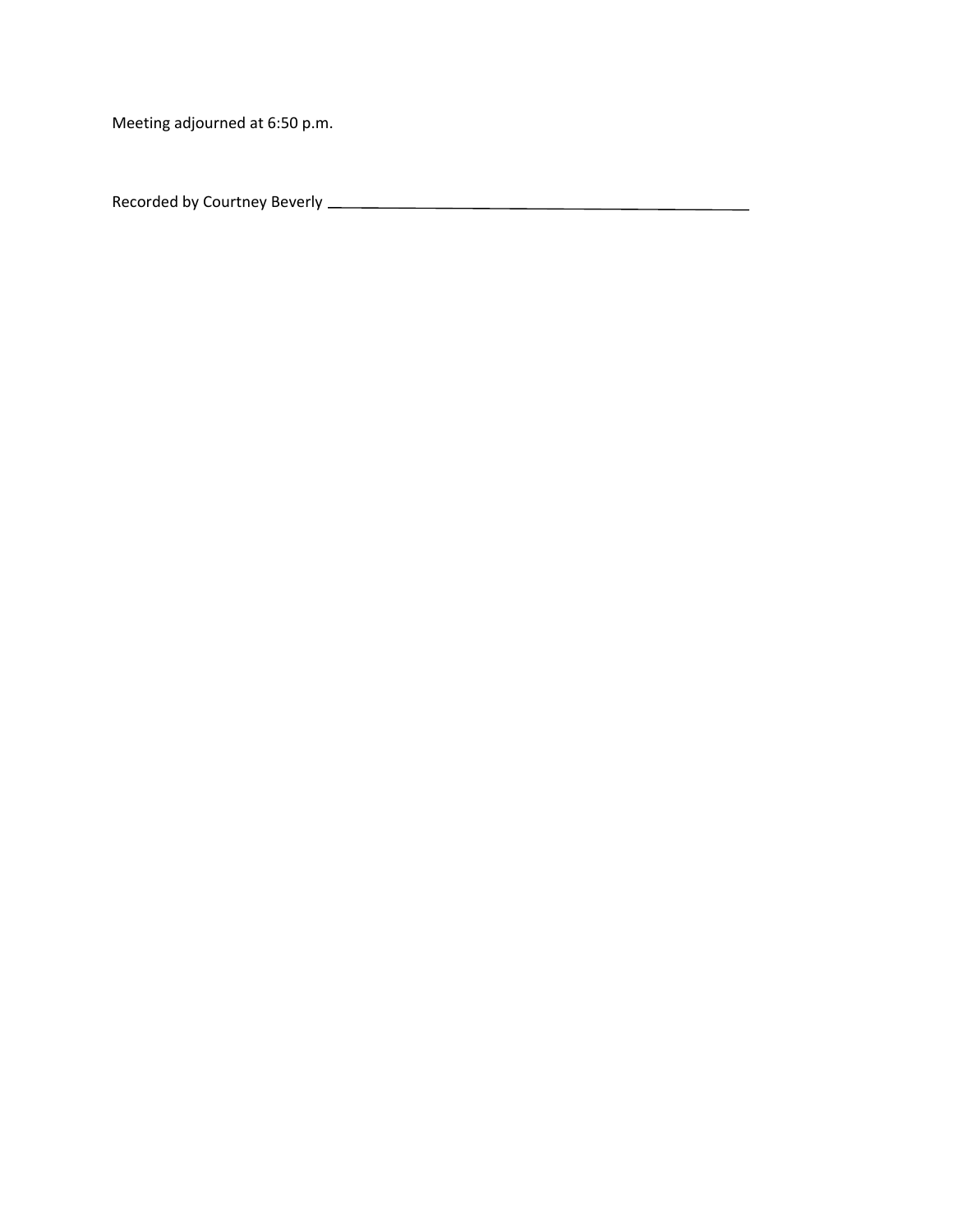Meeting adjourned at 6:50 p.m.

Recorded by Courtney Beverly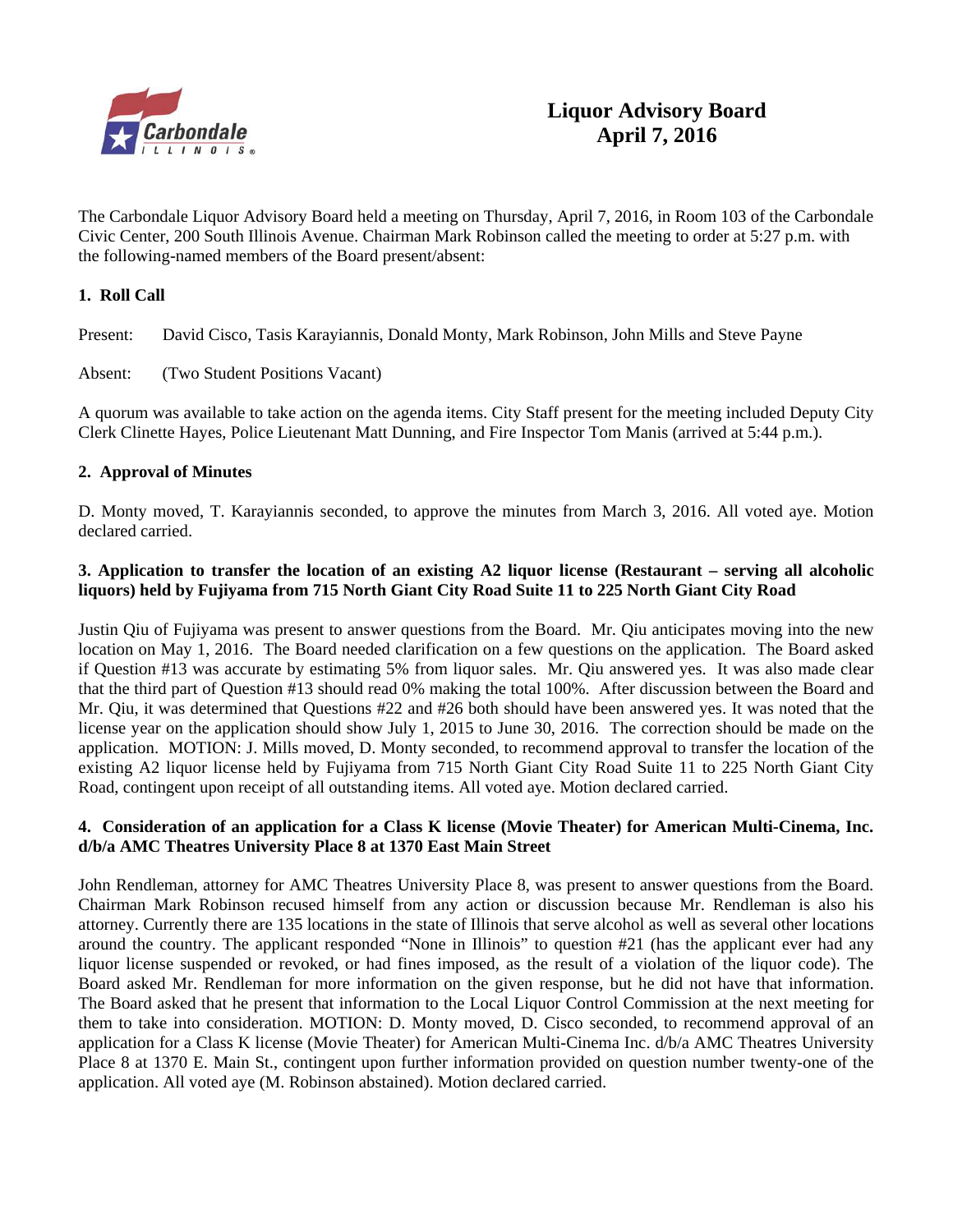

The Carbondale Liquor Advisory Board held a meeting on Thursday, April 7, 2016, in Room 103 of the Carbondale Civic Center, 200 South Illinois Avenue. Chairman Mark Robinson called the meeting to order at 5:27 p.m. with the following-named members of the Board present/absent:

# **1. Roll Call**

Present: David Cisco, Tasis Karayiannis, Donald Monty, Mark Robinson, John Mills and Steve Payne

# Absent: (Two Student Positions Vacant)

A quorum was available to take action on the agenda items. City Staff present for the meeting included Deputy City Clerk Clinette Hayes, Police Lieutenant Matt Dunning, and Fire Inspector Tom Manis (arrived at 5:44 p.m.).

# **2. Approval of Minutes**

D. Monty moved, T. Karayiannis seconded, to approve the minutes from March 3, 2016. All voted aye. Motion declared carried.

# **3. Application to transfer the location of an existing A2 liquor license (Restaurant – serving all alcoholic liquors) held by Fujiyama from 715 North Giant City Road Suite 11 to 225 North Giant City Road**

Justin Qiu of Fujiyama was present to answer questions from the Board. Mr. Qiu anticipates moving into the new location on May 1, 2016. The Board needed clarification on a few questions on the application. The Board asked if Question #13 was accurate by estimating 5% from liquor sales. Mr. Qiu answered yes. It was also made clear that the third part of Question #13 should read 0% making the total 100%. After discussion between the Board and Mr. Qiu, it was determined that Questions #22 and #26 both should have been answered yes. It was noted that the license year on the application should show July 1, 2015 to June 30, 2016. The correction should be made on the application. MOTION: J. Mills moved, D. Monty seconded, to recommend approval to transfer the location of the existing A2 liquor license held by Fujiyama from 715 North Giant City Road Suite 11 to 225 North Giant City Road, contingent upon receipt of all outstanding items. All voted aye. Motion declared carried.

# **4. Consideration of an application for a Class K license (Movie Theater) for American Multi-Cinema, Inc. d/b/a AMC Theatres University Place 8 at 1370 East Main Street**

John Rendleman, attorney for AMC Theatres University Place 8, was present to answer questions from the Board. Chairman Mark Robinson recused himself from any action or discussion because Mr. Rendleman is also his attorney. Currently there are 135 locations in the state of Illinois that serve alcohol as well as several other locations around the country. The applicant responded "None in Illinois" to question #21 (has the applicant ever had any liquor license suspended or revoked, or had fines imposed, as the result of a violation of the liquor code). The Board asked Mr. Rendleman for more information on the given response, but he did not have that information. The Board asked that he present that information to the Local Liquor Control Commission at the next meeting for them to take into consideration. MOTION: D. Monty moved, D. Cisco seconded, to recommend approval of an application for a Class K license (Movie Theater) for American Multi-Cinema Inc. d/b/a AMC Theatres University Place 8 at 1370 E. Main St., contingent upon further information provided on question number twenty-one of the application. All voted aye (M. Robinson abstained). Motion declared carried.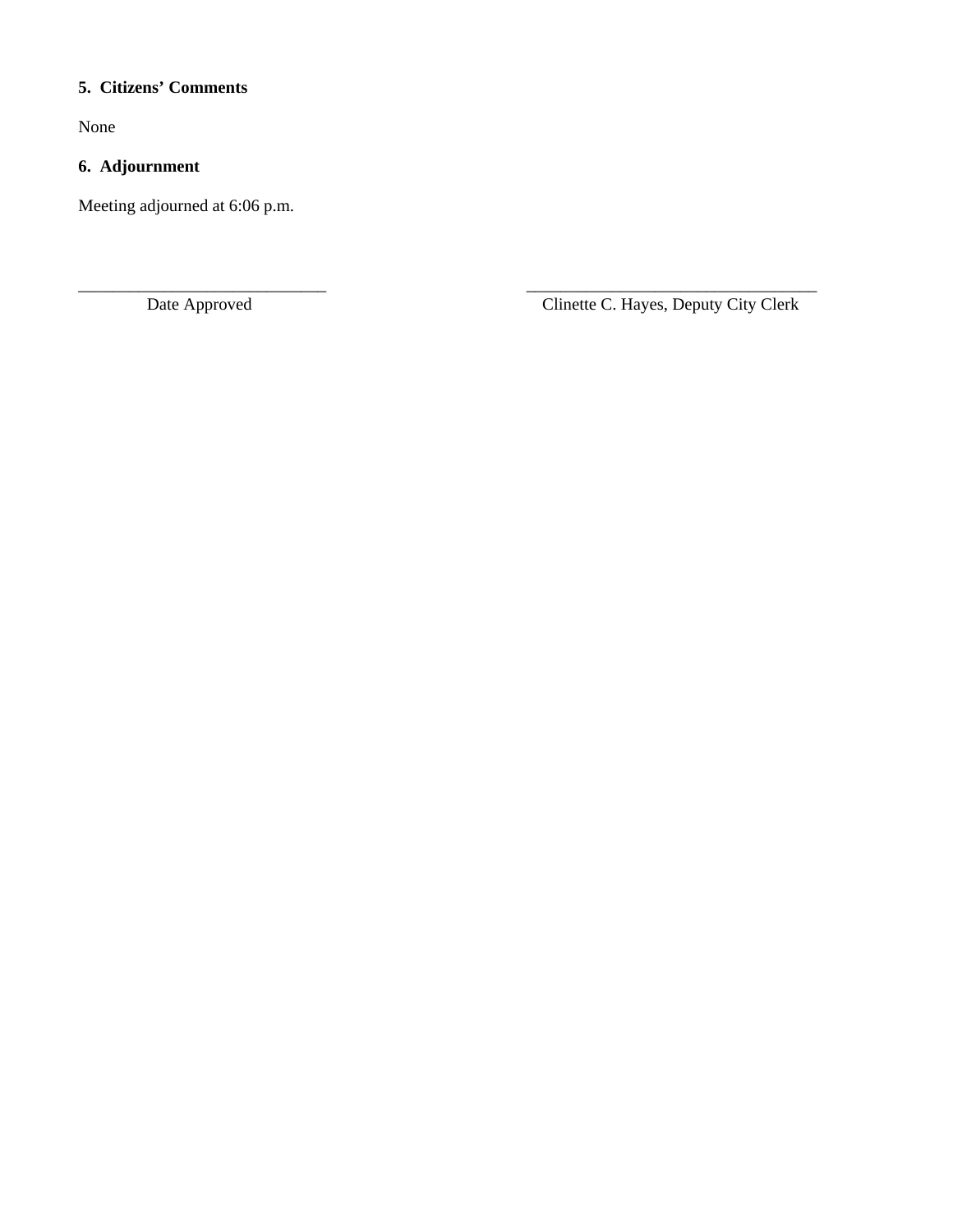# **5. Citizens' Comments**

None

# **6. Adjournment**

Meeting adjourned at 6:06 p.m.

\_\_\_\_\_\_\_\_\_\_\_\_\_\_\_\_\_\_\_\_\_\_\_\_\_\_\_\_\_ \_\_\_\_\_\_\_\_\_\_\_\_\_\_\_\_\_\_\_\_\_\_\_\_\_\_\_\_\_\_\_\_\_\_ Date Approved Clinette C. Hayes, Deputy City Clerk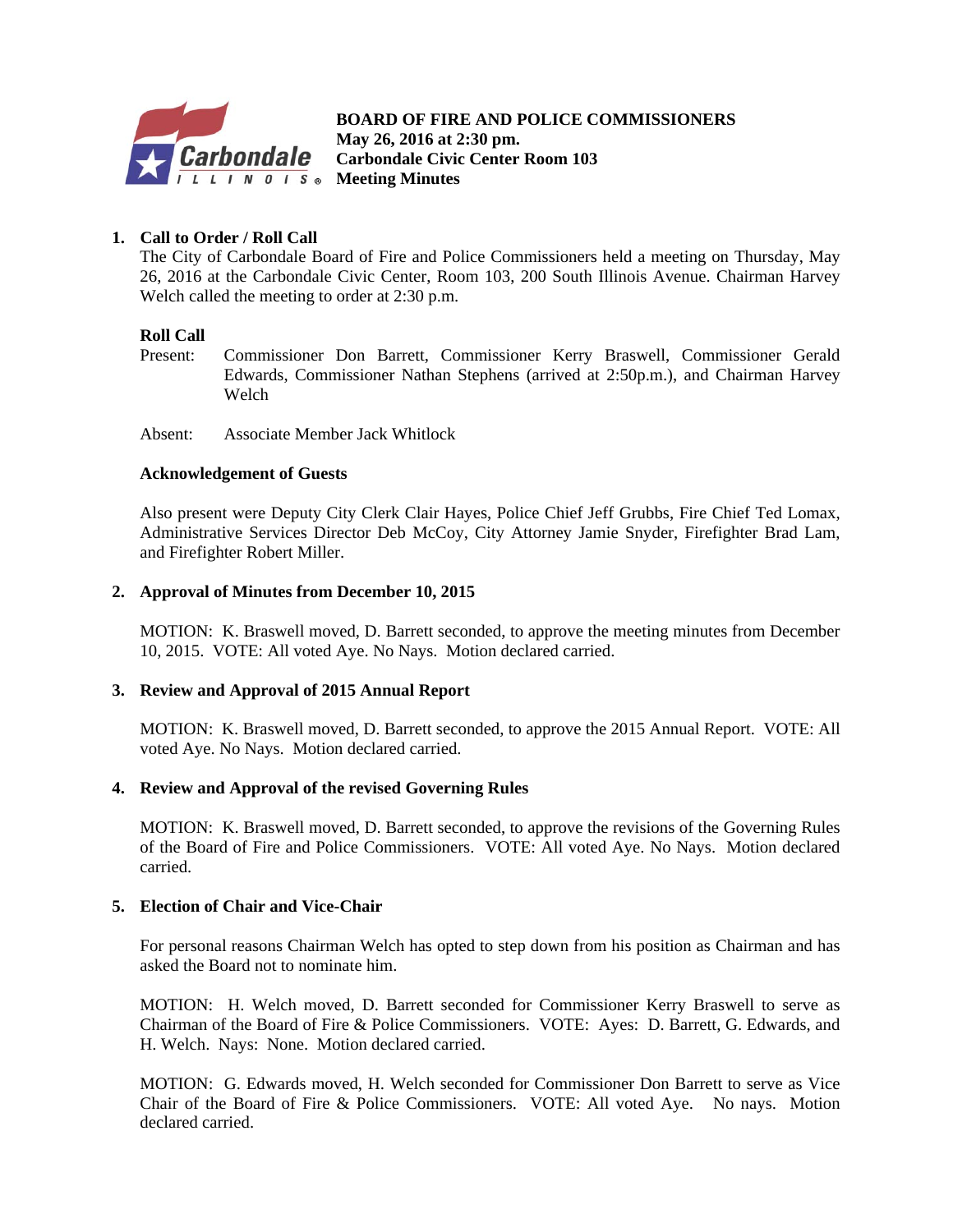

**BOARD OF FIRE AND POLICE COMMISSIONERS** *May 26, 2016 at 2:30 pm.*<br>*Carbondale* Carbondale Civic Center  **Carbondale Civic Center Room 103 Meeting Minutes** 

# **1. Call to Order / Roll Call**

The City of Carbondale Board of Fire and Police Commissioners held a meeting on Thursday, May 26, 2016 at the Carbondale Civic Center, Room 103, 200 South Illinois Avenue. Chairman Harvey Welch called the meeting to order at 2:30 p.m.

#### **Roll Call**

- Present: Commissioner Don Barrett, Commissioner Kerry Braswell, Commissioner Gerald Edwards, Commissioner Nathan Stephens (arrived at 2:50p.m.), and Chairman Harvey Welch
- Absent: Associate Member Jack Whitlock

#### **Acknowledgement of Guests**

Also present were Deputy City Clerk Clair Hayes, Police Chief Jeff Grubbs, Fire Chief Ted Lomax, Administrative Services Director Deb McCoy, City Attorney Jamie Snyder, Firefighter Brad Lam, and Firefighter Robert Miller.

# **2. Approval of Minutes from December 10, 2015**

 MOTION: K. Braswell moved, D. Barrett seconded, to approve the meeting minutes from December 10, 2015. VOTE: All voted Aye. No Nays. Motion declared carried.

# **3. Review and Approval of 2015 Annual Report**

 MOTION: K. Braswell moved, D. Barrett seconded, to approve the 2015 Annual Report. VOTE: All voted Aye. No Nays. Motion declared carried.

#### **4. Review and Approval of the revised Governing Rules**

MOTION: K. Braswell moved, D. Barrett seconded, to approve the revisions of the Governing Rules of the Board of Fire and Police Commissioners. VOTE: All voted Aye. No Nays. Motion declared carried.

# **5. Election of Chair and Vice-Chair**

For personal reasons Chairman Welch has opted to step down from his position as Chairman and has asked the Board not to nominate him.

 MOTION: H. Welch moved, D. Barrett seconded for Commissioner Kerry Braswell to serve as Chairman of the Board of Fire & Police Commissioners. VOTE: Ayes: D. Barrett, G. Edwards, and H. Welch. Nays: None. Motion declared carried.

MOTION: G. Edwards moved, H. Welch seconded for Commissioner Don Barrett to serve as Vice Chair of the Board of Fire & Police Commissioners. VOTE: All voted Aye. No nays. Motion declared carried.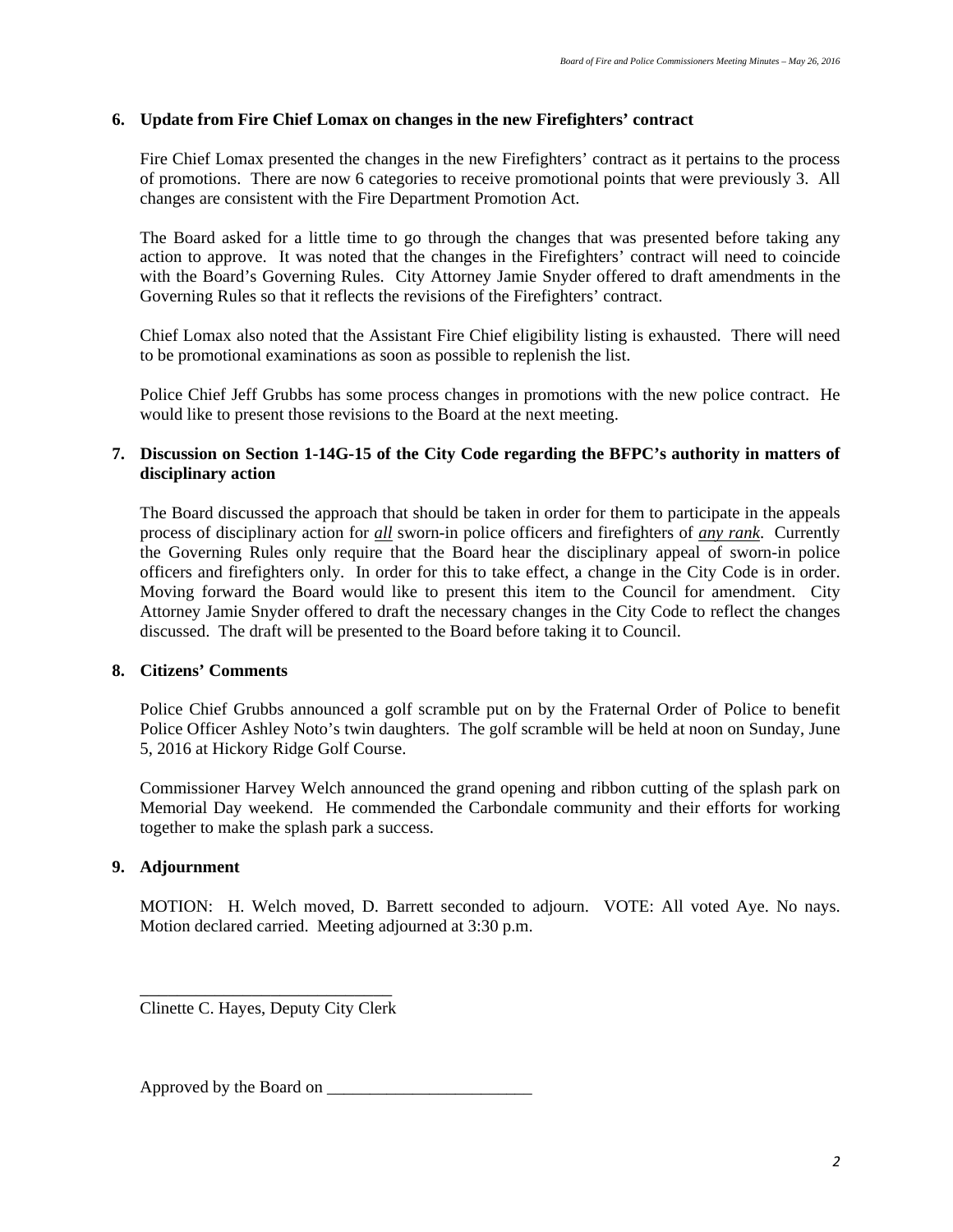# **6. Update from Fire Chief Lomax on changes in the new Firefighters' contract**

Fire Chief Lomax presented the changes in the new Firefighters' contract as it pertains to the process of promotions. There are now 6 categories to receive promotional points that were previously 3. All changes are consistent with the Fire Department Promotion Act.

The Board asked for a little time to go through the changes that was presented before taking any action to approve. It was noted that the changes in the Firefighters' contract will need to coincide with the Board's Governing Rules. City Attorney Jamie Snyder offered to draft amendments in the Governing Rules so that it reflects the revisions of the Firefighters' contract.

Chief Lomax also noted that the Assistant Fire Chief eligibility listing is exhausted. There will need to be promotional examinations as soon as possible to replenish the list.

Police Chief Jeff Grubbs has some process changes in promotions with the new police contract. He would like to present those revisions to the Board at the next meeting.

# **7. Discussion on Section 1-14G-15 of the City Code regarding the BFPC's authority in matters of disciplinary action**

 The Board discussed the approach that should be taken in order for them to participate in the appeals process of disciplinary action for *all* sworn-in police officers and firefighters of *any rank*. Currently the Governing Rules only require that the Board hear the disciplinary appeal of sworn-in police officers and firefighters only. In order for this to take effect, a change in the City Code is in order. Moving forward the Board would like to present this item to the Council for amendment. City Attorney Jamie Snyder offered to draft the necessary changes in the City Code to reflect the changes discussed. The draft will be presented to the Board before taking it to Council.

# **8. Citizens' Comments**

Police Chief Grubbs announced a golf scramble put on by the Fraternal Order of Police to benefit Police Officer Ashley Noto's twin daughters. The golf scramble will be held at noon on Sunday, June 5, 2016 at Hickory Ridge Golf Course.

Commissioner Harvey Welch announced the grand opening and ribbon cutting of the splash park on Memorial Day weekend. He commended the Carbondale community and their efforts for working together to make the splash park a success.

# **9. Adjournment**

MOTION: H. Welch moved, D. Barrett seconded to adjourn. VOTE: All voted Aye. No nays. Motion declared carried. Meeting adjourned at 3:30 p.m.

\_\_\_\_\_\_\_\_\_\_\_\_\_\_\_\_\_\_\_\_\_\_\_\_\_\_\_ Clinette C. Hayes, Deputy City Clerk

Approved by the Board on \_\_\_\_\_\_\_\_\_\_\_\_\_\_\_\_\_\_\_\_\_\_\_\_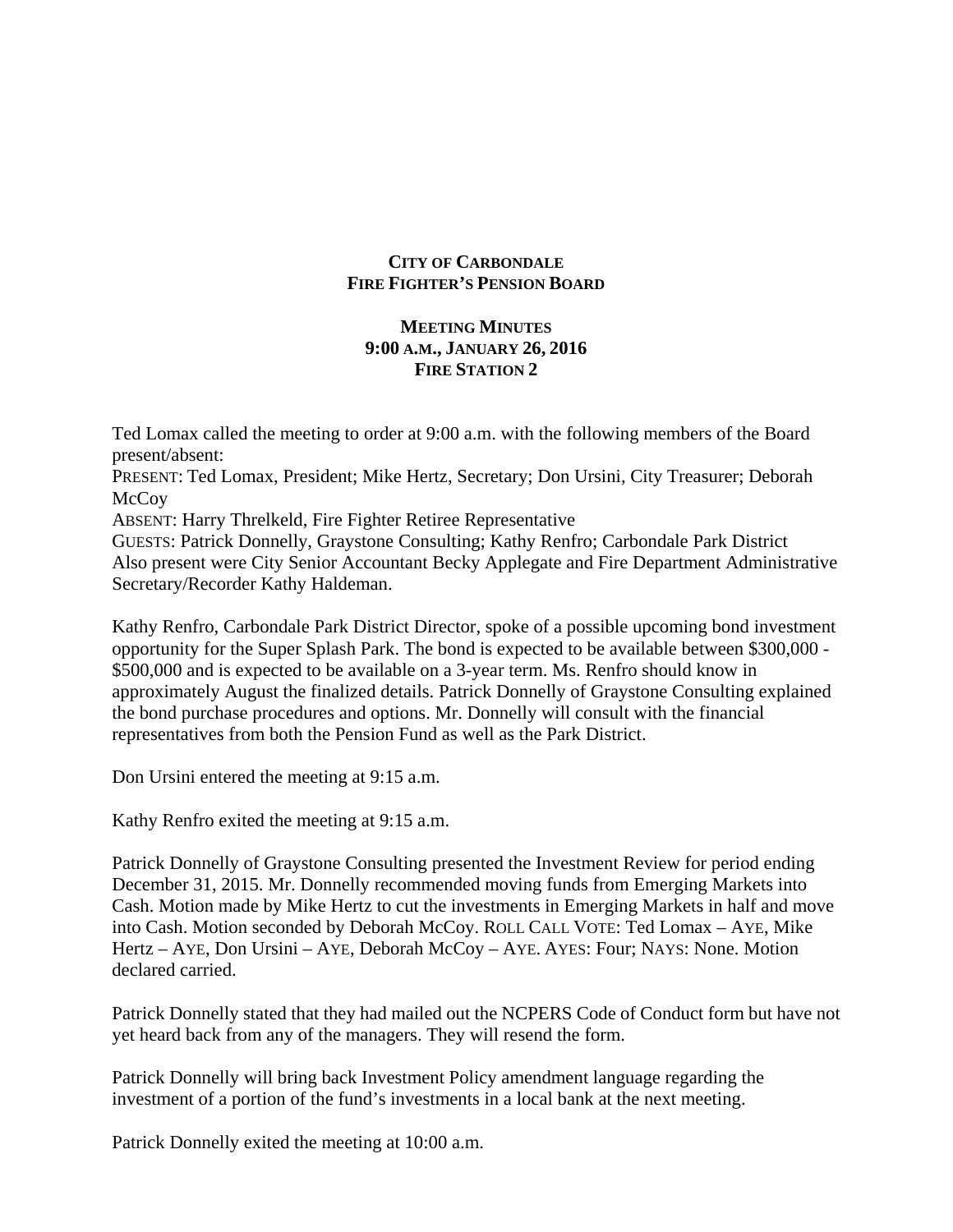# **CITY OF CARBONDALE FIRE FIGHTER'S PENSION BOARD**

# **MEETING MINUTES 9:00 A.M., JANUARY 26, 2016 FIRE STATION 2**

Ted Lomax called the meeting to order at 9:00 a.m. with the following members of the Board present/absent: PRESENT: Ted Lomax, President; Mike Hertz, Secretary; Don Ursini, City Treasurer; Deborah **McCoy** ABSENT: Harry Threlkeld, Fire Fighter Retiree Representative GUESTS: Patrick Donnelly, Graystone Consulting; Kathy Renfro; Carbondale Park District Also present were City Senior Accountant Becky Applegate and Fire Department Administrative Secretary/Recorder Kathy Haldeman.

Kathy Renfro, Carbondale Park District Director, spoke of a possible upcoming bond investment opportunity for the Super Splash Park. The bond is expected to be available between \$300,000 - \$500,000 and is expected to be available on a 3-year term. Ms. Renfro should know in approximately August the finalized details. Patrick Donnelly of Graystone Consulting explained the bond purchase procedures and options. Mr. Donnelly will consult with the financial representatives from both the Pension Fund as well as the Park District.

Don Ursini entered the meeting at 9:15 a.m.

Kathy Renfro exited the meeting at 9:15 a.m.

Patrick Donnelly of Graystone Consulting presented the Investment Review for period ending December 31, 2015. Mr. Donnelly recommended moving funds from Emerging Markets into Cash. Motion made by Mike Hertz to cut the investments in Emerging Markets in half and move into Cash. Motion seconded by Deborah McCoy. ROLL CALL VOTE: Ted Lomax – AYE, Mike Hertz – AYE, Don Ursini – AYE, Deborah McCoy – AYE. AYES: Four; NAYS: None. Motion declared carried.

Patrick Donnelly stated that they had mailed out the NCPERS Code of Conduct form but have not yet heard back from any of the managers. They will resend the form.

Patrick Donnelly will bring back Investment Policy amendment language regarding the investment of a portion of the fund's investments in a local bank at the next meeting.

Patrick Donnelly exited the meeting at 10:00 a.m.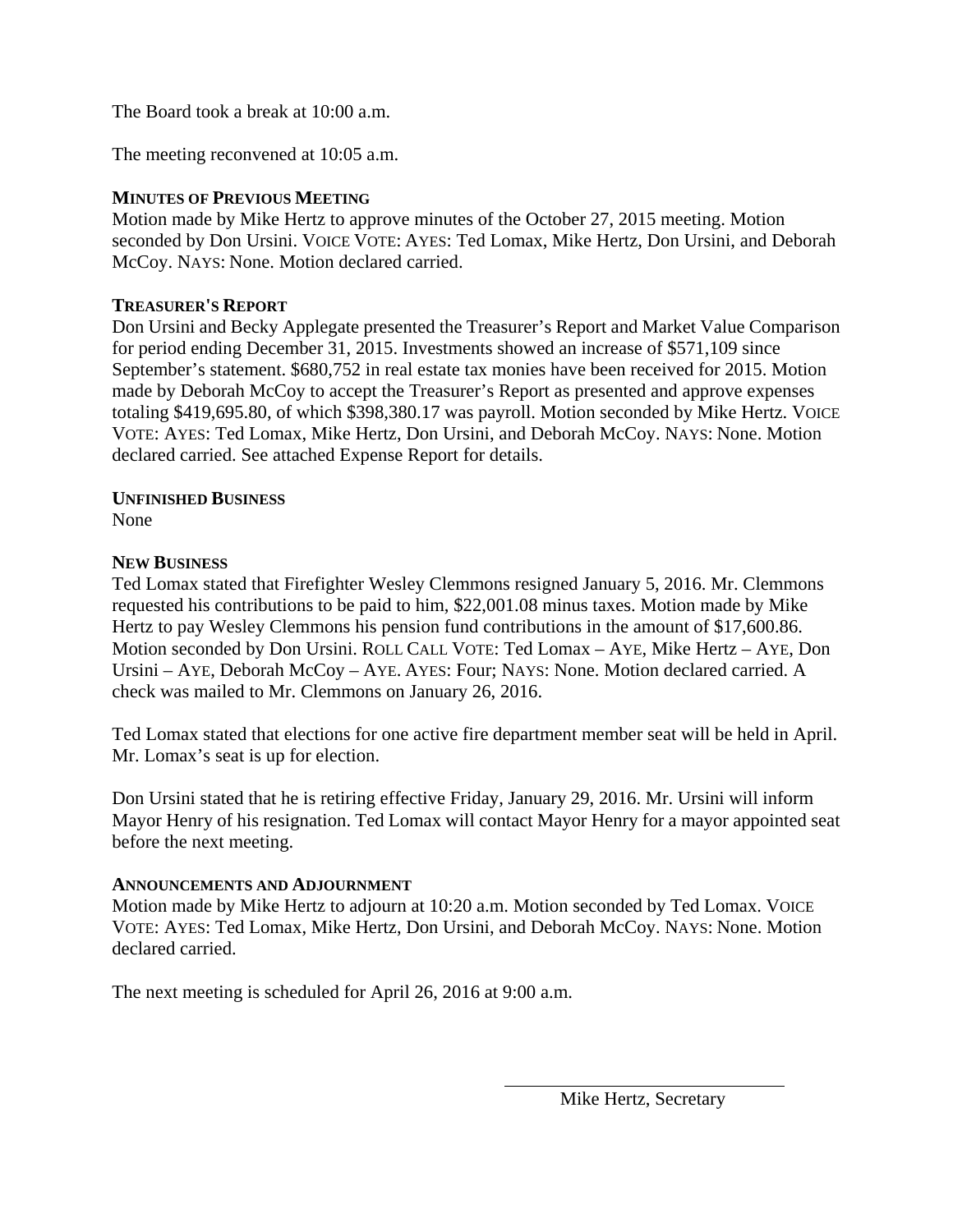The Board took a break at 10:00 a.m.

The meeting reconvened at 10:05 a.m.

# **MINUTES OF PREVIOUS MEETING**

Motion made by Mike Hertz to approve minutes of the October 27, 2015 meeting. Motion seconded by Don Ursini. VOICE VOTE: AYES: Ted Lomax, Mike Hertz, Don Ursini, and Deborah McCoy. NAYS: None. Motion declared carried.

# **TREASURER'S REPORT**

Don Ursini and Becky Applegate presented the Treasurer's Report and Market Value Comparison for period ending December 31, 2015. Investments showed an increase of \$571,109 since September's statement. \$680,752 in real estate tax monies have been received for 2015. Motion made by Deborah McCoy to accept the Treasurer's Report as presented and approve expenses totaling \$419,695.80, of which \$398,380.17 was payroll. Motion seconded by Mike Hertz. VOICE VOTE: AYES: Ted Lomax, Mike Hertz, Don Ursini, and Deborah McCoy. NAYS: None. Motion declared carried. See attached Expense Report for details.

# **UNFINISHED BUSINESS**

None

# **NEW BUSINESS**

Ted Lomax stated that Firefighter Wesley Clemmons resigned January 5, 2016. Mr. Clemmons requested his contributions to be paid to him, \$22,001.08 minus taxes. Motion made by Mike Hertz to pay Wesley Clemmons his pension fund contributions in the amount of \$17,600.86. Motion seconded by Don Ursini. ROLL CALL VOTE: Ted Lomax – AYE, Mike Hertz – AYE, Don Ursini – AYE, Deborah McCoy – AYE. AYES: Four; NAYS: None. Motion declared carried. A check was mailed to Mr. Clemmons on January 26, 2016.

Ted Lomax stated that elections for one active fire department member seat will be held in April. Mr. Lomax's seat is up for election.

Don Ursini stated that he is retiring effective Friday, January 29, 2016. Mr. Ursini will inform Mayor Henry of his resignation. Ted Lomax will contact Mayor Henry for a mayor appointed seat before the next meeting.

# **ANNOUNCEMENTS AND ADJOURNMENT**

Motion made by Mike Hertz to adjourn at 10:20 a.m. Motion seconded by Ted Lomax. VOICE VOTE: AYES: Ted Lomax, Mike Hertz, Don Ursini, and Deborah McCoy. NAYS: None. Motion declared carried.

The next meeting is scheduled for April 26, 2016 at 9:00 a.m.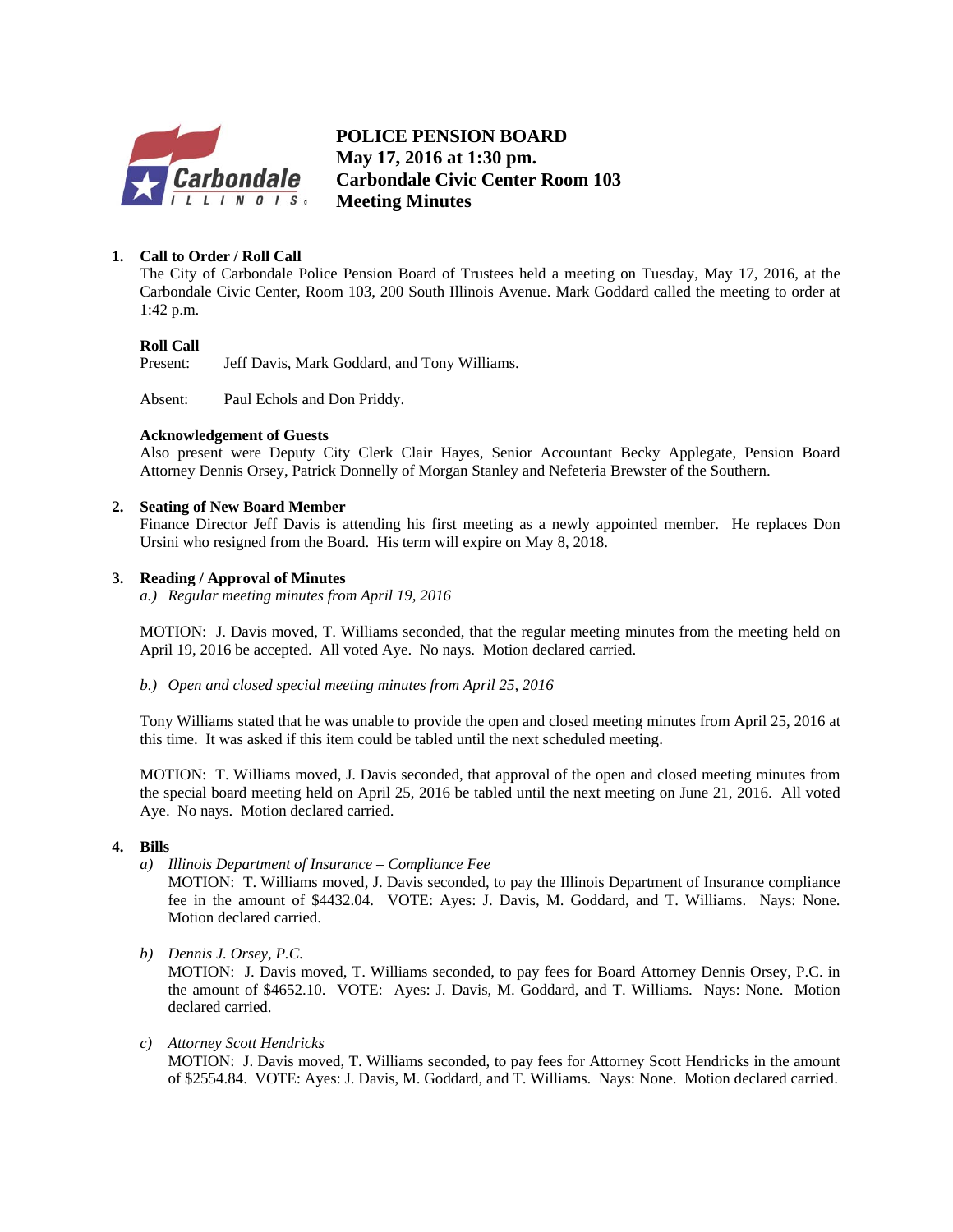

**POLICE PENSION BOARD May 17, 2016 at 1:30 pm. Carbondale Civic Center Room 103 Meeting Minutes**

### **1. Call to Order / Roll Call**

The City of Carbondale Police Pension Board of Trustees held a meeting on Tuesday, May 17, 2016, at the Carbondale Civic Center, Room 103, 200 South Illinois Avenue. Mark Goddard called the meeting to order at 1:42 p.m.

#### **Roll Call**

Present: Jeff Davis, Mark Goddard, and Tony Williams.

Absent: Paul Echols and Don Priddy.

#### **Acknowledgement of Guests**

Also present were Deputy City Clerk Clair Hayes, Senior Accountant Becky Applegate, Pension Board Attorney Dennis Orsey, Patrick Donnelly of Morgan Stanley and Nefeteria Brewster of the Southern.

#### **2. Seating of New Board Member**

Finance Director Jeff Davis is attending his first meeting as a newly appointed member. He replaces Don Ursini who resigned from the Board. His term will expire on May 8, 2018.

#### **3. Reading / Approval of Minutes**

*a.) Regular meeting minutes from April 19, 2016* 

MOTION: J. Davis moved, T. Williams seconded, that the regular meeting minutes from the meeting held on April 19, 2016 be accepted. All voted Aye. No nays. Motion declared carried.

*b.) Open and closed special meeting minutes from April 25, 2016* 

Tony Williams stated that he was unable to provide the open and closed meeting minutes from April 25, 2016 at this time. It was asked if this item could be tabled until the next scheduled meeting.

MOTION: T. Williams moved, J. Davis seconded, that approval of the open and closed meeting minutes from the special board meeting held on April 25, 2016 be tabled until the next meeting on June 21, 2016. All voted Aye. No nays. Motion declared carried.

#### **4. Bills**

*a) Illinois Department of Insurance – Compliance Fee* 

MOTION: T. Williams moved, J. Davis seconded, to pay the Illinois Department of Insurance compliance fee in the amount of \$4432.04. VOTE: Ayes: J. Davis, M. Goddard, and T. Williams. Nays: None. Motion declared carried.

*b) Dennis J. Orsey, P.C.* 

MOTION: J. Davis moved, T. Williams seconded, to pay fees for Board Attorney Dennis Orsey, P.C. in the amount of \$4652.10. VOTE: Ayes: J. Davis, M. Goddard, and T. Williams. Nays: None. Motion declared carried.

*c) Attorney Scott Hendricks* 

MOTION: J. Davis moved, T. Williams seconded, to pay fees for Attorney Scott Hendricks in the amount of \$2554.84. VOTE: Ayes: J. Davis, M. Goddard, and T. Williams. Nays: None. Motion declared carried.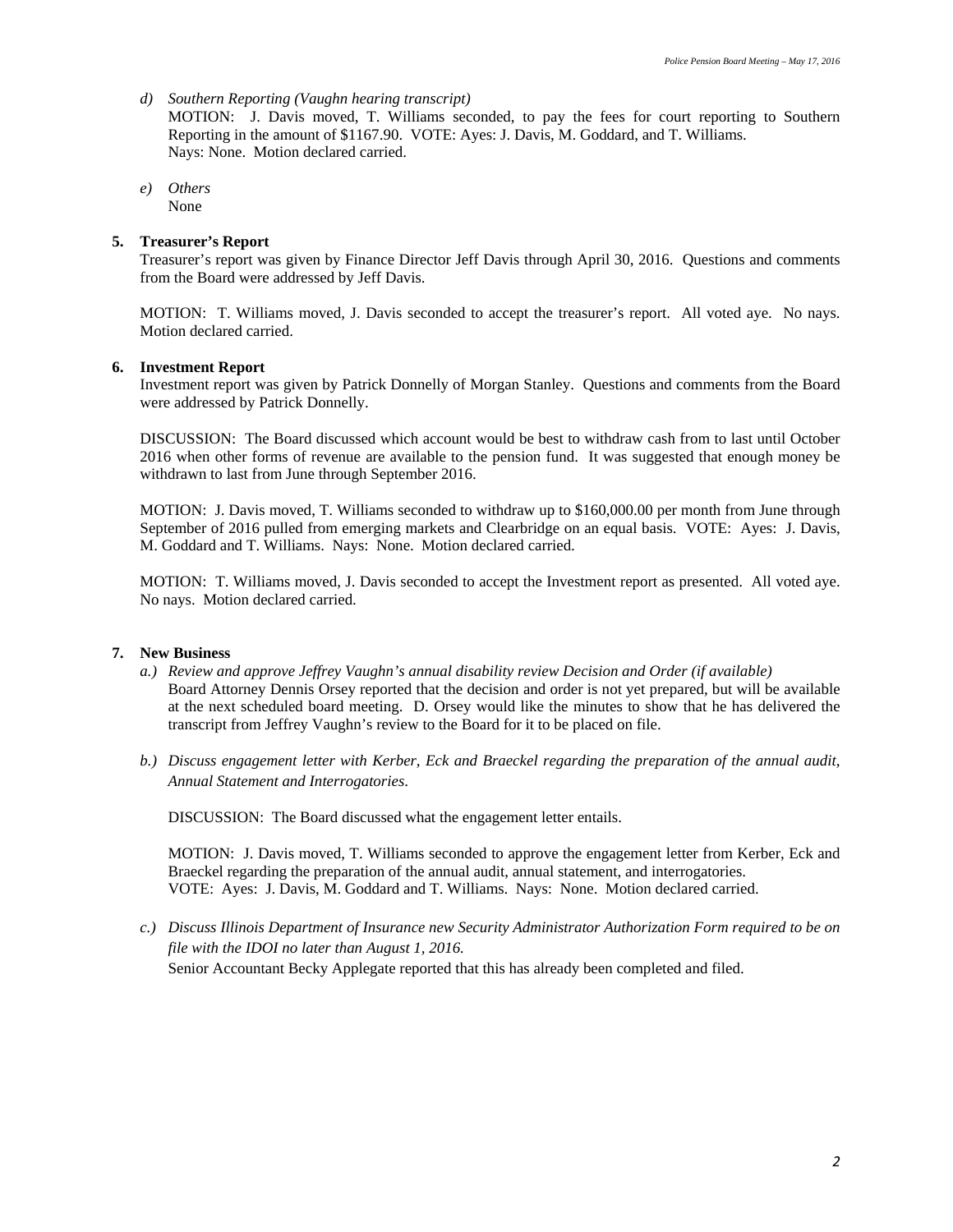- *d) Southern Reporting (Vaughn hearing transcript)*  MOTION: J. Davis moved, T. Williams seconded, to pay the fees for court reporting to Southern Reporting in the amount of \$1167.90. VOTE: Ayes: J. Davis, M. Goddard, and T. Williams. Nays: None. Motion declared carried.
- *e) Others*  None

#### **5. Treasurer's Report**

Treasurer's report was given by Finance Director Jeff Davis through April 30, 2016. Questions and comments from the Board were addressed by Jeff Davis.

MOTION: T. Williams moved, J. Davis seconded to accept the treasurer's report. All voted aye. No nays. Motion declared carried.

#### **6. Investment Report**

Investment report was given by Patrick Donnelly of Morgan Stanley. Questions and comments from the Board were addressed by Patrick Donnelly.

DISCUSSION: The Board discussed which account would be best to withdraw cash from to last until October 2016 when other forms of revenue are available to the pension fund. It was suggested that enough money be withdrawn to last from June through September 2016.

MOTION: J. Davis moved, T. Williams seconded to withdraw up to \$160,000.00 per month from June through September of 2016 pulled from emerging markets and Clearbridge on an equal basis. VOTE: Ayes: J. Davis, M. Goddard and T. Williams. Nays: None. Motion declared carried.

MOTION: T. Williams moved, J. Davis seconded to accept the Investment report as presented. All voted aye. No nays. Motion declared carried.

#### **7. New Business**

- *a.) Review and approve Jeffrey Vaughn's annual disability review Decision and Order (if available)*  Board Attorney Dennis Orsey reported that the decision and order is not yet prepared, but will be available at the next scheduled board meeting. D. Orsey would like the minutes to show that he has delivered the transcript from Jeffrey Vaughn's review to the Board for it to be placed on file.
- *b.) Discuss engagement letter with Kerber, Eck and Braeckel regarding the preparation of the annual audit, Annual Statement and Interrogatories*.

DISCUSSION: The Board discussed what the engagement letter entails.

MOTION: J. Davis moved, T. Williams seconded to approve the engagement letter from Kerber, Eck and Braeckel regarding the preparation of the annual audit, annual statement, and interrogatories. VOTE: Ayes: J. Davis, M. Goddard and T. Williams. Nays: None. Motion declared carried.

*c.) Discuss Illinois Department of Insurance new Security Administrator Authorization Form required to be on file with the IDOI no later than August 1, 2016.*  Senior Accountant Becky Applegate reported that this has already been completed and filed.